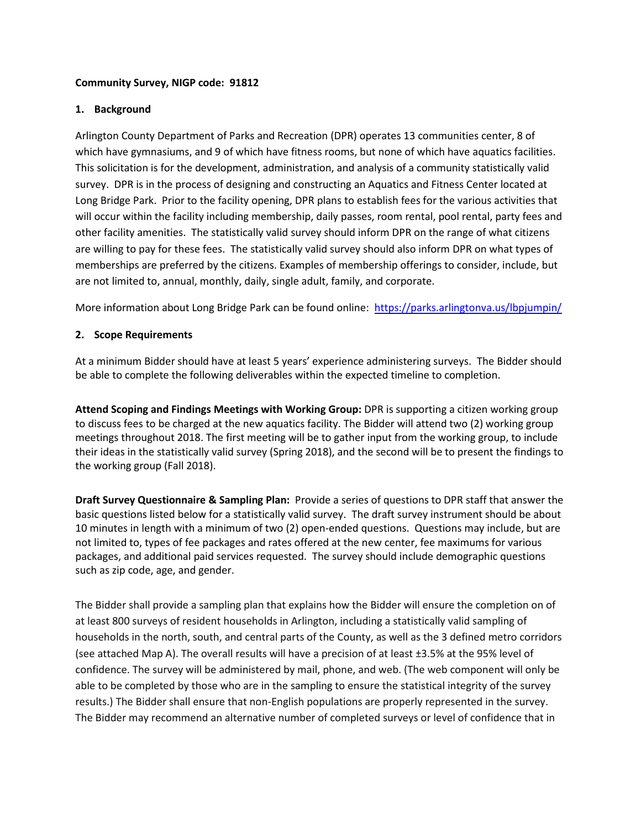#### **Community Survey, NIGP code: 91812**

### **1. Background**

Arlington County Department of Parks and Recreation (DPR) operates 13 communities center, 8 of which have gymnasiums, and 9 of which have fitness rooms, but none of which have aquatics facilities. This solicitation is for the development, administration, and analysis of a community statistically valid survey. DPR is in the process of designing and constructing an Aquatics and Fitness Center located at Long Bridge Park. Prior to the facility opening, DPR plans to establish fees for the various activities that will occur within the facility including membership, daily passes, room rental, pool rental, party fees and other facility amenities. The statistically valid survey should inform DPR on the range of what citizens are willing to pay for these fees. The statistically valid survey should also inform DPR on what types of memberships are preferred by the citizens. Examples of membership offerings to consider, include, but are not limited to, annual, monthly, daily, single adult, family, and corporate.

More information about Long Bridge Park can be found online:<https://parks.arlingtonva.us/lbpjumpin/>

### **2. Scope Requirements**

At a minimum Bidder should have at least 5 years' experience administering surveys. The Bidder should be able to complete the following deliverables within the expected timeline to completion.

**Attend Scoping and Findings Meetings with Working Group:** DPR is supporting a citizen working group to discuss fees to be charged at the new aquatics facility. The Bidder will attend two (2) working group meetings throughout 2018. The first meeting will be to gather input from the working group, to include their ideas in the statistically valid survey (Spring 2018), and the second will be to present the findings to the working group (Fall 2018).

**Draft Survey Questionnaire & Sampling Plan:** Provide a series of questions to DPR staff that answer the basic questions listed below for a statistically valid survey. The draft survey instrument should be about 10 minutes in length with a minimum of two (2) open-ended questions. Questions may include, but are not limited to, types of fee packages and rates offered at the new center, fee maximums for various packages, and additional paid services requested. The survey should include demographic questions such as zip code, age, and gender.

The Bidder shall provide a sampling plan that explains how the Bidder will ensure the completion on of at least 800 surveys of resident households in Arlington, including a statistically valid sampling of households in the north, south, and central parts of the County, as well as the 3 defined metro corridors (see attached Map A). The overall results will have a precision of at least ±3.5% at the 95% level of confidence. The survey will be administered by mail, phone, and web. (The web component will only be able to be completed by those who are in the sampling to ensure the statistical integrity of the survey results.) The Bidder shall ensure that non-English populations are properly represented in the survey. The Bidder may recommend an alternative number of completed surveys or level of confidence that in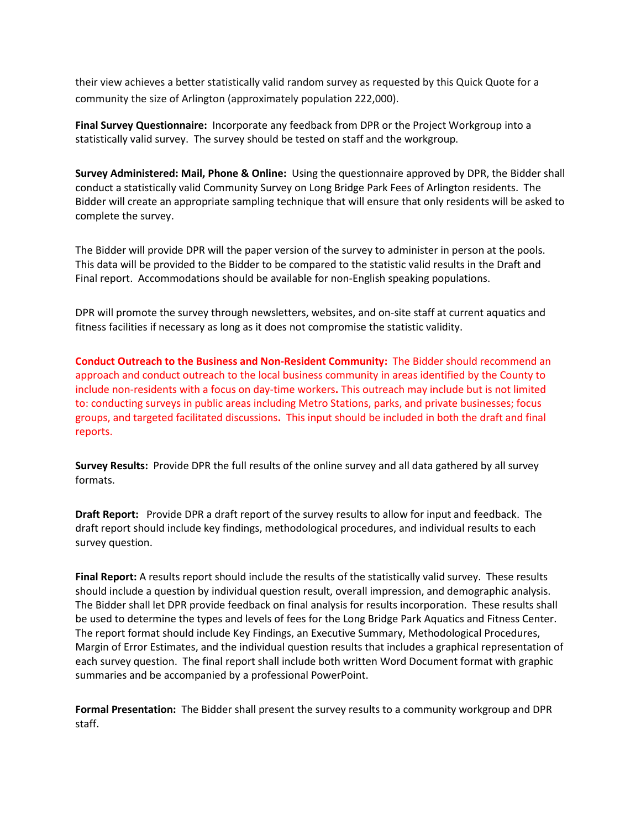their view achieves a better statistically valid random survey as requested by this Quick Quote for a community the size of Arlington (approximately population 222,000).

**Final Survey Questionnaire:** Incorporate any feedback from DPR or the Project Workgroup into a statistically valid survey. The survey should be tested on staff and the workgroup.

**Survey Administered: Mail, Phone & Online:** Using the questionnaire approved by DPR, the Bidder shall conduct a statistically valid Community Survey on Long Bridge Park Fees of Arlington residents. The Bidder will create an appropriate sampling technique that will ensure that only residents will be asked to complete the survey.

The Bidder will provide DPR will the paper version of the survey to administer in person at the pools. This data will be provided to the Bidder to be compared to the statistic valid results in the Draft and Final report. Accommodations should be available for non-English speaking populations.

DPR will promote the survey through newsletters, websites, and on-site staff at current aquatics and fitness facilities if necessary as long as it does not compromise the statistic validity.

**Conduct Outreach to the Business and Non-Resident Community:** The Bidder should recommend an approach and conduct outreach to the local business community in areas identified by the County to include non-residents with a focus on day-time workers**.** This outreach may include but is not limited to: conducting surveys in public areas including Metro Stations, parks, and private businesses; focus groups, and targeted facilitated discussions**.** This input should be included in both the draft and final reports.

**Survey Results:** Provide DPR the full results of the online survey and all data gathered by all survey formats.

**Draft Report:** Provide DPR a draft report of the survey results to allow for input and feedback. The draft report should include key findings, methodological procedures, and individual results to each survey question.

**Final Report:** A results report should include the results of the statistically valid survey. These results should include a question by individual question result, overall impression, and demographic analysis. The Bidder shall let DPR provide feedback on final analysis for results incorporation. These results shall be used to determine the types and levels of fees for the Long Bridge Park Aquatics and Fitness Center. The report format should include Key Findings, an Executive Summary, Methodological Procedures, Margin of Error Estimates, and the individual question results that includes a graphical representation of each survey question. The final report shall include both written Word Document format with graphic summaries and be accompanied by a professional PowerPoint.

**Formal Presentation:** The Bidder shall present the survey results to a community workgroup and DPR staff.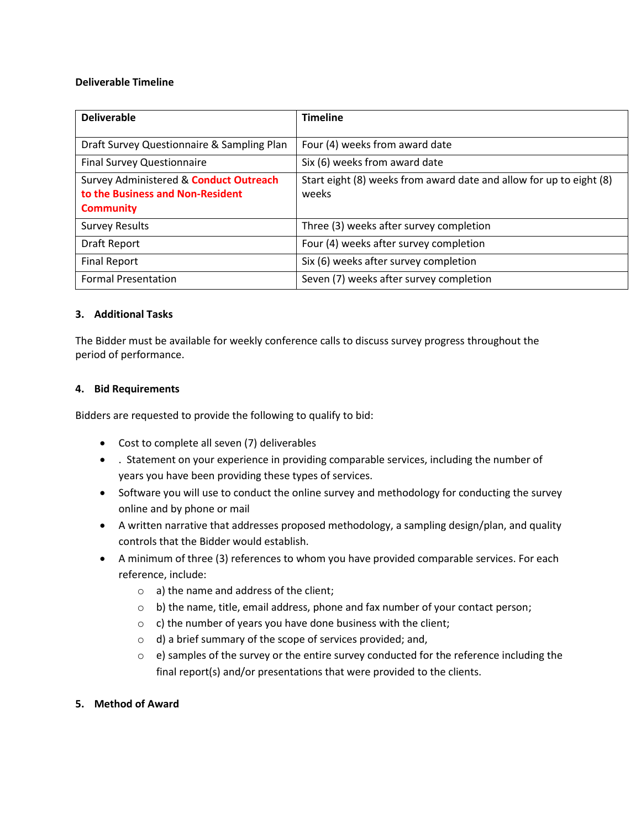#### **Deliverable Timeline**

| <b>Deliverable</b>                                                                                    | <b>Timeline</b>                                                              |
|-------------------------------------------------------------------------------------------------------|------------------------------------------------------------------------------|
| Draft Survey Questionnaire & Sampling Plan                                                            | Four (4) weeks from award date                                               |
| <b>Final Survey Questionnaire</b>                                                                     | Six (6) weeks from award date                                                |
| Survey Administered & <b>Conduct Outreach</b><br>to the Business and Non-Resident<br><b>Community</b> | Start eight (8) weeks from award date and allow for up to eight (8)<br>weeks |
| <b>Survey Results</b>                                                                                 | Three (3) weeks after survey completion                                      |
| Draft Report                                                                                          | Four (4) weeks after survey completion                                       |
| <b>Final Report</b>                                                                                   | Six (6) weeks after survey completion                                        |
| <b>Formal Presentation</b>                                                                            | Seven (7) weeks after survey completion                                      |

### **3. Additional Tasks**

The Bidder must be available for weekly conference calls to discuss survey progress throughout the period of performance.

### **4. Bid Requirements**

Bidders are requested to provide the following to qualify to bid:

- Cost to complete all seven (7) deliverables
- . Statement on your experience in providing comparable services, including the number of years you have been providing these types of services.
- Software you will use to conduct the online survey and methodology for conducting the survey online and by phone or mail
- A written narrative that addresses proposed methodology, a sampling design/plan, and quality controls that the Bidder would establish.
- A minimum of three (3) references to whom you have provided comparable services. For each reference, include:
	- o a) the name and address of the client;
	- $\circ$  b) the name, title, email address, phone and fax number of your contact person;
	- $\circ$  c) the number of years you have done business with the client;
	- o d) a brief summary of the scope of services provided; and,
	- o e) samples of the survey or the entire survey conducted for the reference including the final report(s) and/or presentations that were provided to the clients.

### **5. Method of Award**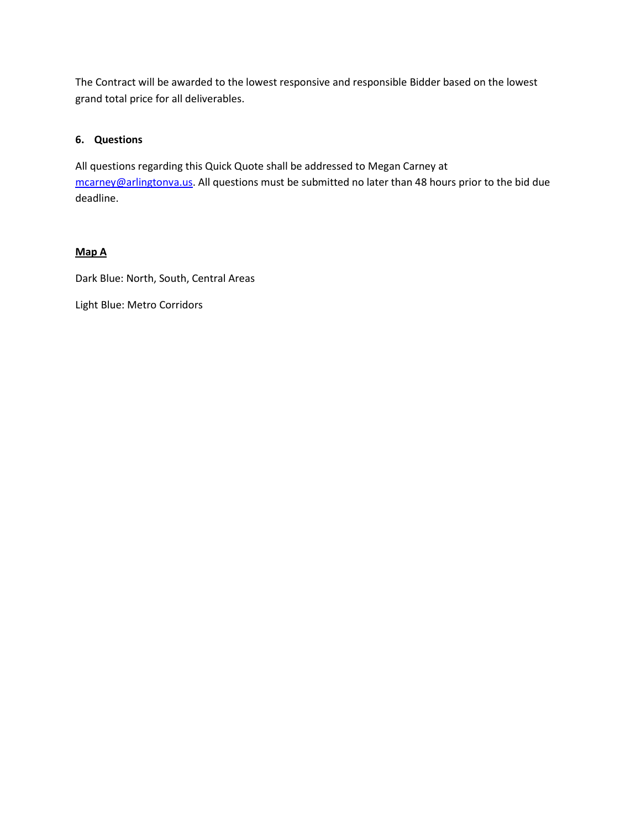The Contract will be awarded to the lowest responsive and responsible Bidder based on the lowest grand total price for all deliverables.

# **6. Questions**

All questions regarding this Quick Quote shall be addressed to Megan Carney at [mcarney@arlingtonva.us.](mailto:mcarney@arlingtonva.us) All questions must be submitted no later than 48 hours prior to the bid due deadline.

# **Map A**

Dark Blue: North, South, Central Areas

Light Blue: Metro Corridors